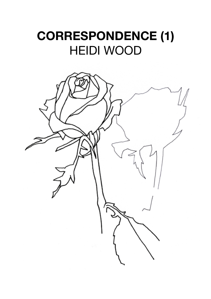## **CORRESPONDENCE (1)** HEIDI WOOD

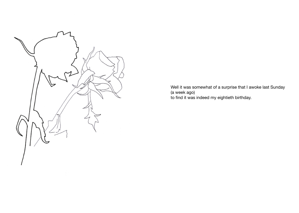

Well it was somewhat of a surprise that I awoke last Sunday (a week ago) to find it was indeed my eightieth birthday.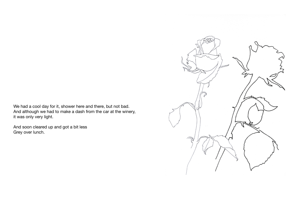We had a cool day for it, shower here and there, but not bad. And although we had to make a dash from the car at the winery, it was only very light.

And soon cleared up and got a bit less Grey over lunch.

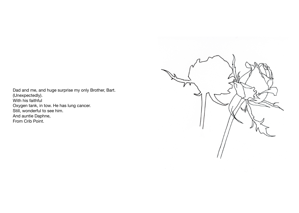Dad and me, and huge surprise my only Brother, Bart. (Unexpectedly). With his faithful Oxygen tank, in tow. He has lung cancer. Still, wonderful to see him. And auntie Daphne, From Crib Point.

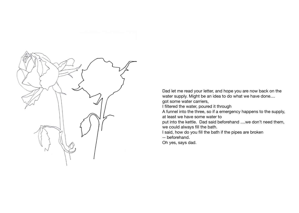

Dad let me read your letter, and hope you are now back on the water supply. Might be an idea to do what we have done....

got some water carriers,

I filtered the water, poured it through

A funnel into the three, so if a emergency happens to the supply, at least we have some water to

put into the kettle. Dad said beforehand ....we don't need them, we could always fill the bath.

I said, how do you fill the bath if the pipes are broken

-- beforehand.

Oh yes, says dad.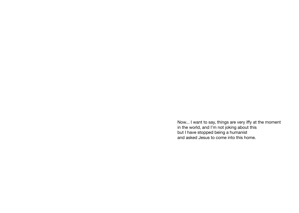Now... I want to say, things are very iffy at the moment in the world, and I'm not joking about this but I have stopped being a humanist and asked Jesus to come into this home.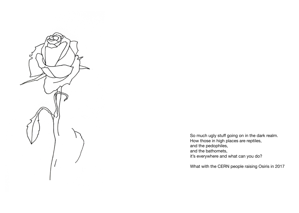

So much ugly stuff going on in the dark realm. How those in high places are reptiles, and the pedophiles, and the bathomets, it's everywhere and what can you do?

What with the CERN people raising Osiris in 2017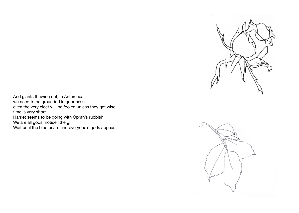

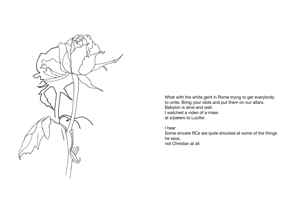

What with the white gent in Rome trying to get everybody to unite. Bring your idols and put them on our altars. Babylon is alive and well. I watched a video of a mass at s/peters to Lucifer.

I hear

Some sincere RCs are quite shocked at some of the things he says, not Christian at all.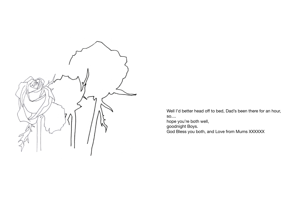

Well I'd better head off to bed, Dad's been there for an hour, so.... hope you're both well, goodnight Boys.

God Bless you both, and Love from Mums XXXXXX